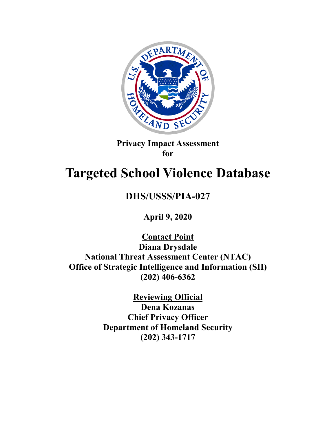

**Privacy Impact Assessment for**

# **Targeted School Violence Database**

# **DHS/USSS/PIA-027**

**April 9, 2020**

**Contact Point Diana Drysdale National Threat Assessment Center (NTAC) Office of Strategic Intelligence and Information (SII) (202) 406-6362**

> **Reviewing Official Dena Kozanas Chief Privacy Officer Department of Homeland Security (202) 343-1717**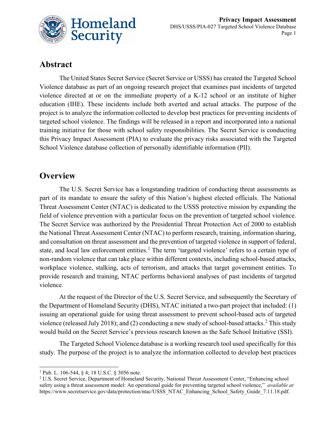

# **Abstract**

The United States Secret Service (Secret Service or USSS) has created the Targeted School Violence database as part of an ongoing research project that examines past incidents of targeted violence directed at or on the immediate property of a K-12 school or an institute of higher education (IHE). These incidents include both averted and actual attacks. The purpose of the project is to analyze the information collected to develop best practices for preventing incidents of targeted school violence. The findings will be released in a report and incorporated into a national training initiative for those with school safety responsibilities. The Secret Service is conducting this Privacy Impact Assessment (PIA) to evaluate the privacy risks associated with the Targeted School Violence database collection of personally identifiable information (PII).

#### **Overview**

The U.S. Secret Service has a longstanding tradition of conducting threat assessments as part of its mandate to ensure the safety of this Nation's highest elected officials. The National Threat Assessment Center (NTAC) is dedicated to the USSS protective mission by expanding the field of violence prevention with a particular focus on the prevention of targeted school violence. The Secret Service was authorized by the Presidential Threat Protection Act of 2000 to establish the National Threat Assessment Center (NTAC) to perform research, training, information sharing, and consultation on threat assessment and the prevention of targeted violence in support of federal, state, and local law enforcement entities.<sup>[1](#page-1-0)</sup> The term 'targeted violence' refers to a certain type of non-random violence that can take place within different contexts, including school-based attacks, workplace violence, stalking, acts of terrorism, and attacks that target government entities. To provide research and training, NTAC performs behavioral analyses of past incidents of targeted violence.

At the request of the Director of the U.S. Secret Service, and subsequently the Secretary of the Department of Homeland Security (DHS), NTAC initiated a two-part project that included: (1) issuing an operational guide for using threat assessment to prevent school-based acts of targeted violence (released July [2](#page-1-1)018); and (2) conducting a new study of school-based attacks.<sup>2</sup> This study would build on the Secret Service's previous research known as the Safe School Initiative (SSI).

The Targeted School Violence database is a working research tool used specifically for this study. The purpose of the project is to analyze the information collected to develop best practices

<span id="page-1-0"></span> <sup>1</sup> Pub. L. 106-544, § 4; 18 U.S.C. § 3056 note.

<span id="page-1-1"></span><sup>2</sup> U.S. Secret Service, Department of Homeland Security, National Threat Assessment Center, "Enhancing school safety using a threat assessment model: An operational guide for preventing targeted school violence," *available at* [https://www.secretservice.gov/data/protection/ntac/USSS\\_NTAC\\_Enhancing\\_School\\_Safety\\_Guide\\_7.11.18.pdf.](https://www.secretservice.gov/data/protection/ntac/USSS_NTAC_Enhancing_School_Safety_Guide_7.11.18.pdf)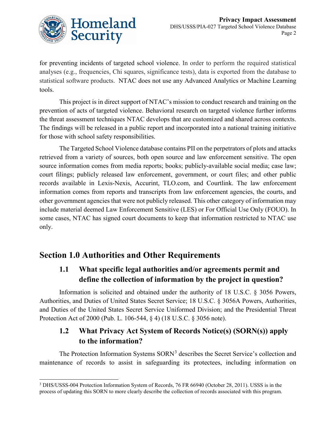

for preventing incidents of targeted school violence. In order to perform the required statistical analyses (e.g., frequencies, Chi squares, significance tests), data is exported from the database to statistical software products. NTAC does not use any Advanced Analytics or Machine Learning tools.

This project is in direct support of NTAC's mission to conduct research and training on the prevention of acts of targeted violence. Behavioral research on targeted violence further informs the threat assessment techniques NTAC develops that are customized and shared across contexts. The findings will be released in a public report and incorporated into a national training initiative for those with school safety responsibilities.

The Targeted School Violence database contains PII on the perpetrators of plots and attacks retrieved from a variety of sources, both open source and law enforcement sensitive. The open source information comes from media reports; books; publicly-available social media; case law; court filings; publicly released law enforcement, government, or court files; and other public records available in Lexis-Nexis, Accurint, TLO.com, and Courtlink. The law enforcement information comes from reports and transcripts from law enforcement agencies, the courts, and other government agencies that were not publicly released. This other category of information may include material deemed Law Enforcement Sensitive (LES) or For Official Use Only (FOUO). In some cases, NTAC has signed court documents to keep that information restricted to NTAC use only.

# **Section 1.0 Authorities and Other Requirements**

## **1.1 What specific legal authorities and/or agreements permit and define the collection of information by the project in question?**

Information is solicited and obtained under the authority of 18 U.S.C. § 3056 Powers, Authorities, and Duties of United States Secret Service; 18 U.S.C. § 3056A Powers, Authorities, and Duties of the United States Secret Service Uniformed Division; and the Presidential Threat Protection Act of 2000 (Pub. L. 106-544, § 4) (18 U.S.C. § 3056 note).

## **1.2 What Privacy Act System of Records Notice(s) (SORN(s)) apply to the information?**

The Protection Information Systems SORN<sup>[3](#page-2-0)</sup> describes the Secret Service's collection and maintenance of records to assist in safeguarding its protectees, including information on

<span id="page-2-0"></span> <sup>3</sup> DHS/USSS-004 Protection Information System of Records, 76 FR 66940 (October 28, 2011). USSS is in the process of updating this SORN to more clearly describe the collection of records associated with this program.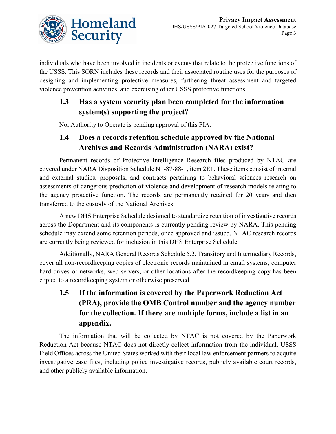

individuals who have been involved in incidents or events that relate to the protective functions of the USSS. This SORN includes these records and their associated routine uses for the purposes of designing and implementing protective measures, furthering threat assessment and targeted violence prevention activities, and exercising other USSS protective functions.

## **1.3 Has a system security plan been completed for the information system(s) supporting the project?**

No, Authority to Operate is pending approval of this PIA.

### **1.4 Does a records retention schedule approved by the National Archives and Records Administration (NARA) exist?**

Permanent records of Protective Intelligence Research files produced by NTAC are covered under NARA Disposition Schedule N1-87-88-1, item 2E1. These items consist of internal and external studies, proposals, and contracts pertaining to behavioral sciences research on assessments of dangerous prediction of violence and development of research models relating to the agency protective function. The records are permanently retained for 20 years and then transferred to the custody of the National Archives.

A new DHS Enterprise Schedule designed to standardize retention of investigative records across the Department and its components is currently pending review by NARA. This pending schedule may extend some retention periods, once approved and issued. NTAC research records are currently being reviewed for inclusion in this DHS Enterprise Schedule.

Additionally, NARA General Records Schedule 5.2, Transitory and Intermediary Records, cover all non-recordkeeping copies of electronic records maintained in email systems, computer hard drives or networks, web servers, or other locations after the recordkeeping copy has been copied to a recordkeeping system or otherwise preserved.

# **1.5 If the information is covered by the Paperwork Reduction Act (PRA), provide the OMB Control number and the agency number for the collection. If there are multiple forms, include a list in an appendix.**

The information that will be collected by NTAC is not covered by the Paperwork Reduction Act because NTAC does not directly collect information from the individual. USSS Field Offices across the United States worked with their local law enforcement partners to acquire investigative case files, including police investigative records, publicly available court records, and other publicly available information.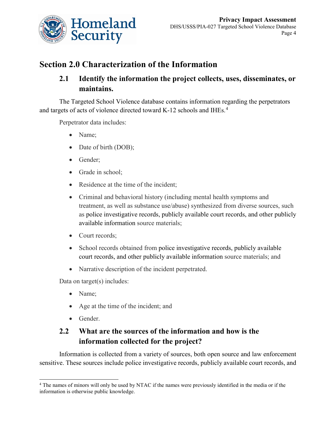

# **Section 2.0 Characterization of the Information**

### **2.1 Identify the information the project collects, uses, disseminates, or maintains.**

The Targeted School Violence database contains information regarding the perpetrators and targets of acts of violence directed toward K-12 schools and IHEs.<sup>[4](#page-4-0)</sup>

Perpetrator data includes:

- Name;
- Date of birth (DOB);
- Gender;
- Grade in school;
- Residence at the time of the incident;
- Criminal and behavioral history (including mental health symptoms and treatment, as well as substance use/abuse) synthesized from diverse sources, such as police investigative records, publicly available court records, and other publicly available information source materials;
- Court records;
- School records obtained from police investigative records, publicly available court records, and other publicly available information source materials; and
- Narrative description of the incident perpetrated.

Data on target(s) includes:

- Name:
- Age at the time of the incident; and
- Gender.

# **2.2 What are the sources of the information and how is the information collected for the project?**

Information is collected from a variety of sources, both open source and law enforcement sensitive. These sources include police investigative records, publicly available court records, and

<span id="page-4-0"></span><sup>&</sup>lt;sup>4</sup> The names of minors will only be used by NTAC if the names were previously identified in the media or if the information is otherwise public knowledge.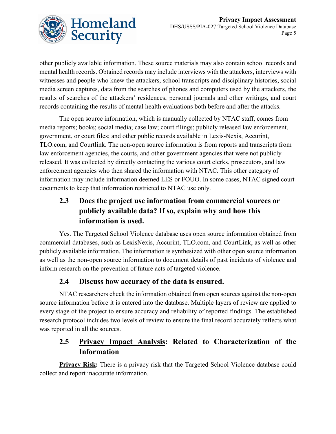

other publicly available information. These source materials may also contain school records and mental health records. Obtained records may include interviews with the attackers, interviews with witnesses and people who knew the attackers, school transcripts and disciplinary histories, social media screen captures, data from the searches of phones and computers used by the attackers, the results of searches of the attackers' residences, personal journals and other writings, and court records containing the results of mental health evaluations both before and after the attacks.

The open source information, which is manually collected by NTAC staff, comes from media reports; books; social media; case law; court filings; publicly released law enforcement, government, or court files; and other public records available in Lexis-Nexis, Accurint, TLO.com, and Courtlink. The non-open source information is from reports and transcripts from law enforcement agencies, the courts, and other government agencies that were not publicly released. It was collected by directly contacting the various court clerks, prosecutors, and law enforcement agencies who then shared the information with NTAC. This other category of information may include information deemed LES or FOUO. In some cases, NTAC signed court documents to keep that information restricted to NTAC use only.

# **2.3 Does the project use information from commercial sources or publicly available data? If so, explain why and how this information is used.**

Yes. The Targeted School Violence database uses open source information obtained from commercial databases, such as LexisNexis, Accurint, TLO.com, and CourtLink, as well as other publicly available information. The information is synthesized with other open source information as well as the non-open source information to document details of past incidents of violence and inform research on the prevention of future acts of targeted violence.

#### **2.4 Discuss how accuracy of the data is ensured.**

NTAC researchers check the information obtained from open sources against the non-open source information before it is entered into the database. Multiple layers of review are applied to every stage of the project to ensure accuracy and reliability of reported findings. The established research protocol includes two levels of review to ensure the final record accurately reflects what was reported in all the sources.

## **2.5 Privacy Impact Analysis: Related to Characterization of the Information**

**Privacy Risk:** There is a privacy risk that the Targeted School Violence database could collect and report inaccurate information.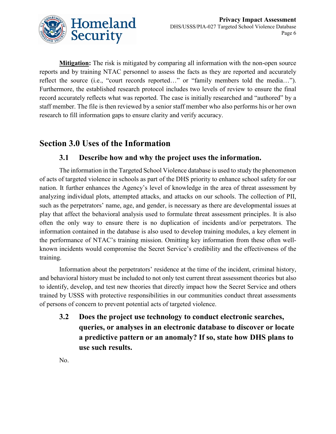

**Mitigation:** The risk is mitigated by comparing all information with the non-open source reports and by training NTAC personnel to assess the facts as they are reported and accurately reflect the source (i.e., "court records reported…" or "family members told the media…"). Furthermore, the established research protocol includes two levels of review to ensure the final record accurately reflects what was reported. The case is initially researched and "authored" by a staff member. The file is then reviewed by a senior staff member who also performs his or her own research to fill information gaps to ensure clarity and verify accuracy.

## **Section 3.0 Uses of the Information**

#### **3.1 Describe how and why the project uses the information.**

The information in the Targeted School Violence database is used to study the phenomenon of acts of targeted violence in schools as part of the DHS priority to enhance school safety for our nation. It further enhances the Agency's level of knowledge in the area of threat assessment by analyzing individual plots, attempted attacks, and attacks on our schools. The collection of PII, such as the perpetrators' name, age, and gender, is necessary as there are developmental issues at play that affect the behavioral analysis used to formulate threat assessment principles. It is also often the only way to ensure there is no duplication of incidents and/or perpetrators. The information contained in the database is also used to develop training modules, a key element in the performance of NTAC's training mission. Omitting key information from these often wellknown incidents would compromise the Secret Service's credibility and the effectiveness of the training.

Information about the perpetrators' residence at the time of the incident, criminal history, and behavioral history must be included to not only test current threat assessment theories but also to identify, develop, and test new theories that directly impact how the Secret Service and others trained by USSS with protective responsibilities in our communities conduct threat assessments of persons of concern to prevent potential acts of targeted violence.

**3.2 Does the project use technology to conduct electronic searches, queries, or analyses in an electronic database to discover or locate a predictive pattern or an anomaly? If so, state how DHS plans to use such results.**

No.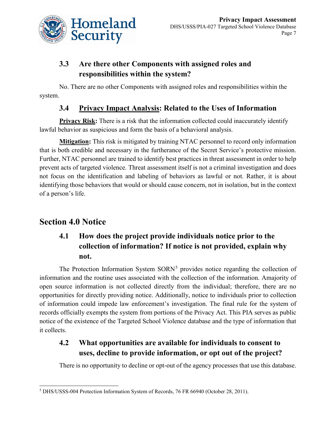

# **3.3 Are there other Components with assigned roles and responsibilities within the system?**

No. There are no other Components with assigned roles and responsibilities within the system.

### **3.4 Privacy Impact Analysis: Related to the Uses of Information**

**Privacy Risk:** There is a risk that the information collected could inaccurately identify lawful behavior as suspicious and form the basis of a behavioral analysis.

**Mitigation:** This risk is mitigated by training NTAC personnel to record only information that is both credible and necessary in the furtherance of the Secret Service's protective mission. Further, NTAC personnel are trained to identify best practices in threat assessment in order to help prevent acts of targeted violence. Threat assessment itself is not a criminal investigation and does not focus on the identification and labeling of behaviors as lawful or not. Rather, it is about identifying those behaviors that would or should cause concern, not in isolation, but in the context of a person's life.

# **Section 4.0 Notice**

# **4.1 How does the project provide individuals notice prior to the collection of information? If notice is not provided, explain why not.**

The Protection Information System  $SORN<sup>5</sup>$  $SORN<sup>5</sup>$  $SORN<sup>5</sup>$  provides notice regarding the collection of information and the routine uses associated with the collection of the information. Amajority of open source information is not collected directly from the individual; therefore, there are no opportunities for directly providing notice. Additionally, notice to individuals prior to collection of information could impede law enforcement's investigation. The final rule for the system of records officially exempts the system from portions of the Privacy Act. This PIA serves as public notice of the existence of the Targeted School Violence database and the type of information that it collects.

## **4.2 What opportunities are available for individuals to consent to uses, decline to provide information, or opt out of the project?**

There is no opportunity to decline or opt-out of the agency processes that use this database.

<span id="page-7-0"></span> <sup>5</sup> DHS/USSS-004 Protection Information System of Records, 76 FR 66940 (October 28, 2011).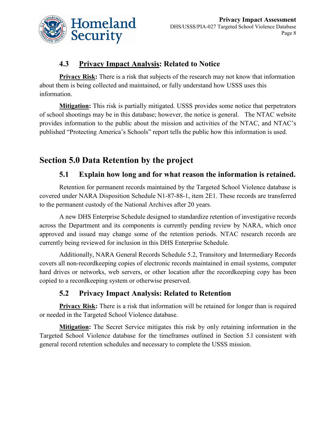

#### **4.3 Privacy Impact Analysis: Related to Notice**

**Privacy Risk:** There is a risk that subjects of the research may not know that information about them is being collected and maintained, or fully understand how USSS uses this information.

**Mitigation:** This risk is partially mitigated. USSS provides some notice that perpetrators of school shootings may be in this database; however, the notice is general. The NTAC website provides information to the public about the mission and activities of the NTAC, and NTAC's published "Protecting America's Schools" report tells the public how this information is used.

# **Section 5.0 Data Retention by the project**

#### **5.1 Explain how long and for what reason the information is retained.**

Retention for permanent records maintained by the Targeted School Violence database is covered under NARA Disposition Schedule N1-87-88-1, item 2E1. These records are transferred to the permanent custody of the National Archives after 20 years.

A new DHS Enterprise Schedule designed to standardize retention of investigative records across the Department and its components is currently pending review by NARA, which once approved and issued may change some of the retention periods. NTAC research records are currently being reviewed for inclusion in this DHS Enterprise Schedule.

Additionally, NARA General Records Schedule 5.2, Transitory and Intermediary Records covers all non-recordkeeping copies of electronic records maintained in email systems, computer hard drives or networks, web servers, or other location after the recordkeeping copy has been copied to a recordkeeping system or otherwise preserved.

## **5.2 Privacy Impact Analysis: Related to Retention**

**Privacy Risk:** There is a risk that information will be retained for longer than is required or needed in the Targeted School Violence database.

**Mitigation:** The Secret Service mitigates this risk by only retaining information in the Targeted School Violence database for the timeframes outlined in Section 5.l consistent with general record retention schedules and necessary to complete the USSS mission.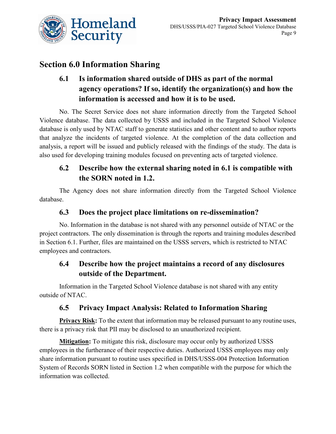

# **Section 6.0 Information Sharing**

# **6.1 Is information shared outside of DHS as part of the normal agency operations? If so, identify the organization(s) and how the information is accessed and how it is to be used.**

No. The Secret Service does not share information directly from the Targeted School Violence database. The data collected by USSS and included in the Targeted School Violence database is only used by NTAC staff to generate statistics and other content and to author reports that analyze the incidents of targeted violence. At the completion of the data collection and analysis, a report will be issued and publicly released with the findings of the study. The data is also used for developing training modules focused on preventing acts of targeted violence.

## **6.2 Describe how the external sharing noted in 6.1 is compatible with the SORN noted in 1.2.**

The Agency does not share information directly from the Targeted School Violence database.

#### **6.3 Does the project place limitations on re-dissemination?**

No. Information in the database is not shared with any personnel outside of NTAC or the project contractors. The only dissemination is through the reports and training modules described in Section 6.1. Further, files are maintained on the USSS servers, which is restricted to NTAC employees and contractors.

#### **6.4 Describe how the project maintains a record of any disclosures outside of the Department.**

Information in the Targeted School Violence database is not shared with any entity outside of NTAC.

#### **6.5 Privacy Impact Analysis: Related to Information Sharing**

**Privacy Risk:** To the extent that information may be released pursuant to any routine uses, there is a privacy risk that PII may be disclosed to an unauthorized recipient.

**Mitigation:** To mitigate this risk, disclosure may occur only by authorized USSS employees in the furtherance of their respective duties. Authorized USSS employees may only share information pursuant to routine uses specified in DHS/USSS-004 Protection Information System of Records SORN listed in Section 1.2 when compatible with the purpose for which the information was collected.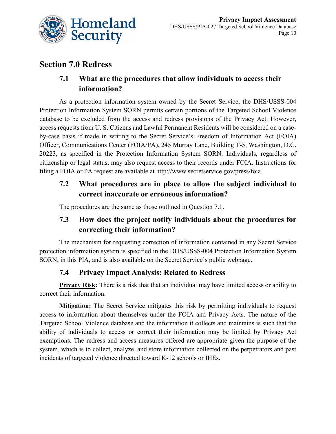

# **Section 7.0 Redress**

### **7.1 What are the procedures that allow individuals to access their information?**

As a protection information system owned by the Secret Service, the DHS/USSS-004 Protection Information System SORN permits certain portions of the Targeted School Violence database to be excluded from the access and redress provisions of the Privacy Act. However, access requests from U. S. Citizens and Lawful Permanent Residents will be considered on a caseby-case basis if made in writing to the Secret Service's Freedom of Information Act (FOIA) Officer, Communications Center (FOIA/PA), 245 Murray Lane, Building T-5, Washington, D.C. 20223, as specified in the Protection Information System SORN. Individuals, regardless of citizenship or legal status, may also request access to their records under FOIA. Instructions for filing a FOIA or PA request are available at http://www.secretservice.gov/press/foia.

## **7.2 What procedures are in place to allow the subject individual to correct inaccurate or erroneous information?**

The procedures are the same as those outlined in Question 7.1.

## **7.3 How does the project notify individuals about the procedures for correcting their information?**

The mechanism for requesting correction of information contained in any Secret Service protection information system is specified in the DHS/USSS-004 Protection Information System SORN, in this PIA, and is also available on the Secret Service's public webpage.

#### **7.4 Privacy Impact Analysis: Related to Redress**

**Privacy Risk:** There is a risk that that an individual may have limited access or ability to correct their information.

**Mitigation:** The Secret Service mitigates this risk by permitting individuals to request access to information about themselves under the FOIA and Privacy Acts. The nature of the Targeted School Violence database and the information it collects and maintains is such that the ability of individuals to access or correct their information may be limited by Privacy Act exemptions. The redress and access measures offered are appropriate given the purpose of the system, which is to collect, analyze, and store information collected on the perpetrators and past incidents of targeted violence directed toward K-12 schools or IHEs.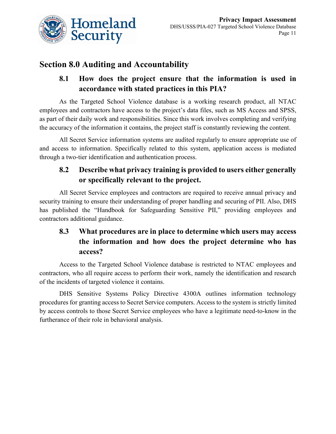

# **Section 8.0 Auditing and Accountability**

## **8.1 How does the project ensure that the information is used in accordance with stated practices in this PIA?**

As the Targeted School Violence database is a working research product, all NTAC employees and contractors have access to the project's data files, such as MS Access and SPSS, as part of their daily work and responsibilities. Since this work involves completing and verifying the accuracy of the information it contains, the project staff is constantly reviewing the content.

All Secret Service information systems are audited regularly to ensure appropriate use of and access to information. Specifically related to this system, application access is mediated through a two-tier identification and authentication process.

# **8.2 Describe what privacy training is provided to users either generally or specifically relevant to the project.**

All Secret Service employees and contractors are required to receive annual privacy and security training to ensure their understanding of proper handling and securing of PII. Also, DHS has published the "Handbook for Safeguarding Sensitive PII," providing employees and contractors additional guidance.

# **8.3 What procedures are in place to determine which users may access the information and how does the project determine who has access?**

Access to the Targeted School Violence database is restricted to NTAC employees and contractors, who all require access to perform their work, namely the identification and research of the incidents of targeted violence it contains.

DHS Sensitive Systems Policy Directive 4300A outlines information technology procedures for granting access to Secret Service computers. Access to the system is strictly limited by access controls to those Secret Service employees who have a legitimate need-to-know in the furtherance of their role in behavioral analysis.